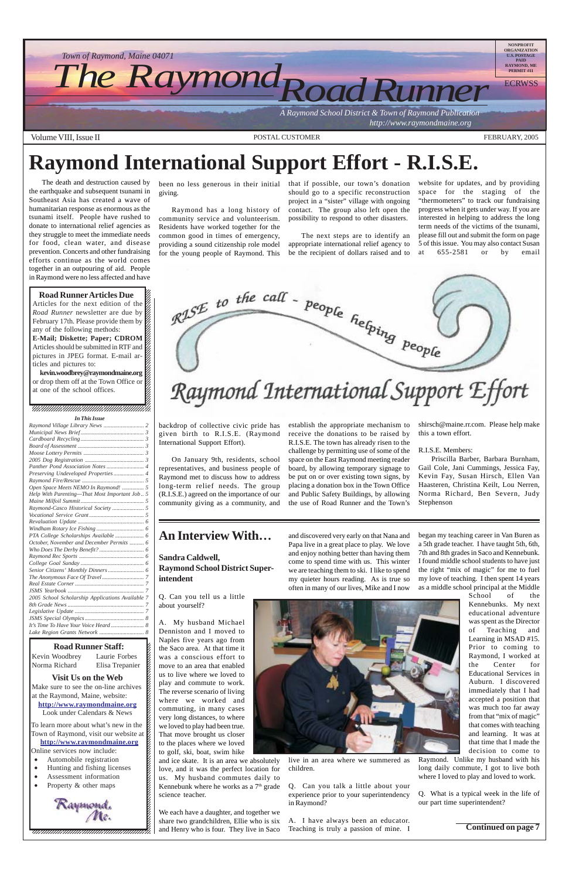#### 12345678901234567890123456789012345678901234567890123456789012345678901234567890123456789012345678901234567890 12345678901234567890123456789012123456789012345678

12345678901234567890123456789012123456789012345678 **Solution** Visit Us on the Web

Make sure to see the on-line archives  $\mathscr{L}$  $123$ at the Raymond, Maine, website:  $\mathcal{E}$  $1$  8  $\blacksquare$ **http://www.raymondmaine.org** Look under Calendars & News  $\mathcal{E}$ 12345678901234567890123456789012123456789012345678

To learn more about what's new in the  $\epsilon$ Town of Raymond, visit our website at  $\cancel{\epsilon}$ 12345678901234567890123456789012123456789012345678 **http://www.raymondmaine.org** Online services now include:  $\mathcal{E}$ 

 $\blacksquare$ 12345678901234567890123456789012123456789012345678

12345678901234567890123456789012123456789012345678

- Automobile registration
- $\bullet$  Hunting and fishing licenses  $\sharp$
- Assessment information
- 12345678901234567890123456789012123456789012345678 • Property & other maps



12345678901234567890123456789012345678901234567890123456789012345678901234567890123456789012345678901234567890 12345678901234567890123456789012123456789012345678

kevin.woodbrey@raymondmaine.org  $\sqrt{2}$ or drop them off at the Town Office or  $\cancel{\%}$  $1235678901234567890123456789012345678901234567890123456789012345678901234567890123456789012345678901234567890123456789012345678901234567890123456789012345678901234567890123456789012345678901234567890123456789012345678901$ at one of the school offices.  $\%$  $1235678901234587890123456789012345678901234567890123456789012345678901234567890123456789012345678901234567890123456789012345678901234567890123456789012345678901234567890123456789012345678901234567890123456789012345678901$ 

 $1235678901234587890123456789012345678901234567890123456789012345678901234567890123456789012345678901234567890123456789012345678901234567890123456789012345678901234567890123456789012345678901234567890123456789012345678901$  $1235678901234587890123456789012345678901234567890123456789012345678901234567890123456789012345678901234567890123456789012345678901234567890123456789012345678901234567890123456789012345678901234567890123456789012345678901$  $1235678901234587890123456789012345678901234567890123456789012345678901234567890123456789012345678901234567890123456789012345678901234567890123456789012345678901234567890123456789012345678901234567890123456789012345678901$  $1235678901234587890123456789012345678901234567890123456789012345678901234567890123456789012345678901234567890123456789012345678901234567890123456789012345678901234567890123456789012345678901234567890123456789012345678901$ 

12345678901234567890123456789012123456789012345678



12345678901234567890123456789012123456789012345678 12345678901234567890123456789012123456789012345678

#### 12345678901234567890123456789012123456789012345678 12345678901234567890123456789012123456789012345678 12345678901234567890123456789012123456789012345678

The death and destruction caused by the earthquake and subsequent tsunami in Southeast Asia has created a wave of humanitarian response as enormous as the tsunami itself. People have rushed to donate to international relief agencies as they struggle to meet the immediate needs for food, clean water, and disease prevention. Concerts and other fundraising efforts continue as the world comes together in an outpouring of aid. People in Raymond were no less affected and have

#### **Road Runner Articles Due** 12345678901234567890123456789012123456789012345678 Articles for the next edition of the  $\mathscr{C}$ *Road Runner* newsletter are due by  $\frac{1}{3}$ February 17th. Please provide them by  $\cancel{\mathcal{Z}}$  $1235678901234567890123456789012345678901234567890123456789012345678901234567890123456789012345678901234567890123456789012345678901234567890123456789012345678901234567890123456789012345678901234567890123456789012345678901$ any of the following methods:  $\%$ **E-Mail; Diskette; Paper; CDROM** Articles should be submitted in RTF and  $\mathbb Z$ pictures in JPEG format. E-mail ar- $\%$  $123567890$ ticles and pictures to:  $\%$

# **Raymond International Support Effort - R.I.S.E.**

been no less generous in their initial that if possible, our town's donation giving.

Raymond has a long history of community service and volunteerism. Residents have worked together for the common good in times of emergency, providing a sound citizenship role model for the young people of Raymond. This

backdrop of collective civic pride has given birth to R.I.S.E. (Raymond International Support Effort).

On January 9th, residents, school representatives, and business people of Raymond met to discuss how to address long-term relief needs. The group (R.I.S.E.) agreed on the importance of our community giving as a community, and

should go to a specific reconstruction project in a "sister" village with ongoing contact. The group also left open the possibility to respond to other disasters.

The next steps are to identify an appropriate international relief agency to be the recipient of dollars raised and to

establish the appropriate mechanism to receive the donations to be raised by R.I.S.E. The town has already risen to the challenge by permitting use of some of the space on the East Raymond meeting reader board, by allowing temporary signage to be put on or over existing town signs, by placing a donation box in the Town Office and Public Safety Buildings, by allowing the use of Road Runner and the Town's

website for updates, and by providing space for the staging of the "thermometers" to track our fundraising progress when it gets under way. If you are interested in helping to address the long term needs of the victims of the tsunami, please fill out and submit the form on page 5 of this issue. You may also contact Susan at 655-2581 or by email



shirsch@maine.rr.com. Please help make this a town effort.

#### R.I.S.E. Members:

Priscilla Barber, Barbara Burnham, Gail Cole, Jani Cummings, Jessica Fay, Kevin Fay, Susan Hirsch, Ellen Van Haasteren, Christina Keilt, Lou Nerren, Norma Richard, Ben Severn, Judy Stephenson

## **An Interview With…**

**Sandra Caldwell, Raymond School District Superintendent**

Q. Can you tell us a little about yourself?

A. My husband Michael Denniston and I moved to Naples five years ago from the Saco area. At that time it was a conscious effort to move to an area that enabled us to live where we loved to play and commute to work. The reverse scenario of living where we worked and commuting, in many cases very long distances, to where we loved to play had been true. That move brought us closer to the places where we loved to golf, ski, boat, swim hike and ice skate. It is an area we absolutely love, and it was the perfect location for us. My husband commutes daily to Kennebunk where he works as a  $7<sup>th</sup>$  grade science teacher.

We each have a daughter, and together we share two grandchildren, Ellie who is six and Henry who is four. They live in Saco and discovered very early on that Nana and Papa live in a great place to play. We love and enjoy nothing better than having them come to spend time with us. This winter we are teaching them to ski. I like to spend my quieter hours reading. As is true so often in many of our lives, Mike and I now



live in an area where we summered as children.

Q. Can you talk a little about your experience prior to your superintendency in Raymond?

A. I have always been an educator. Teaching is truly a passion of mine. I

began my teaching career in Van Buren as a 5th grade teacher. I have taught 5th, 6th, 7th and 8th grades in Saco and Kennebunk. I found middle school students to have just the right "mix of magic" for me to fuel my love of teaching. I then spent 14 years as a middle school principal at the Middle

School of the Kennebunks. My next educational adventure was spent as the Director of Teaching and Learning in MSAD #15. Prior to coming to Raymond, I worked at the Center for Educational Services in Auburn. I discovered immediately that I had accepted a position that was much too far away from that "mix of magic" that comes with teaching and learning. It was at that time that I made the decision to come to Raymond. Unlike my husband with his long daily commute, I got to live both where I loved to play and loved to work.

#### **Road Runner Staff:**

Kevin Woodbrey Laurie Forbes K 12345678901234567890123456789012123456789012345678 Norma Richard Elisa Trepanier K

> Q. What is a typical week in the life of our part time superintendent?

> > **Continued on page 7**

| <b>In This Issue</b>                             |  |
|--------------------------------------------------|--|
|                                                  |  |
|                                                  |  |
|                                                  |  |
|                                                  |  |
|                                                  |  |
|                                                  |  |
|                                                  |  |
| Preserving Undeveloped Properties 4              |  |
|                                                  |  |
| Open Space Meets NEMO In Raymond!  5             |  |
| Help With Parenting-That Most Important Job., 5  |  |
|                                                  |  |
|                                                  |  |
|                                                  |  |
|                                                  |  |
|                                                  |  |
|                                                  |  |
| October, November and December Permits  6        |  |
|                                                  |  |
|                                                  |  |
|                                                  |  |
|                                                  |  |
|                                                  |  |
|                                                  |  |
|                                                  |  |
| 2005 School Scholarship Applications Available 7 |  |
|                                                  |  |
|                                                  |  |
|                                                  |  |
|                                                  |  |
|                                                  |  |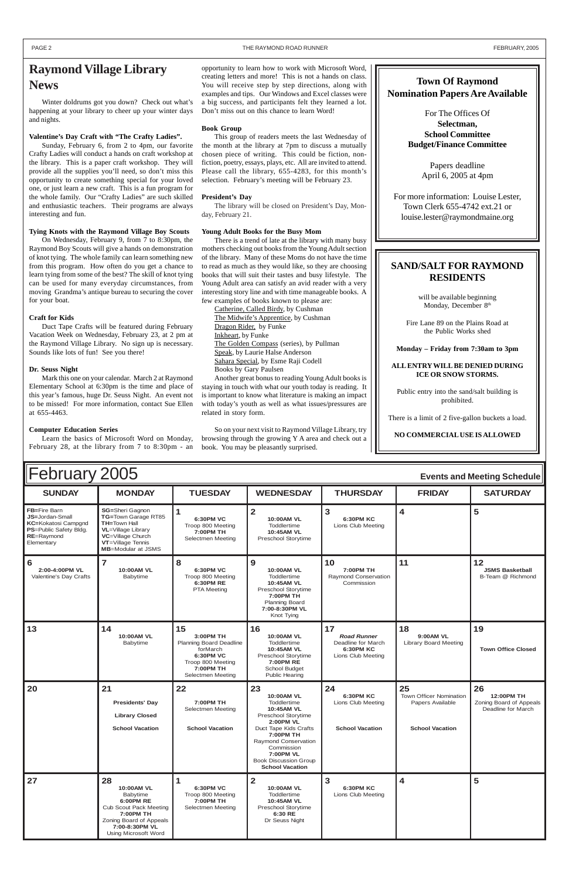#### PAGE 2 THE RAYMOND ROAD RUNNER THE RAYMOND ROAD RUNNER THE RAYMOND ROAD RUNNER THE SAME RAYMOND ROAD RUNNER

| $\sim$ $\sim$ $\sim$                                                                                                       |                                                                                                                                                                            |                                                                                                                                          |                                                                                                                                                                                                                                                                  |                                                                                   |                                                                             |                                                                   |
|----------------------------------------------------------------------------------------------------------------------------|----------------------------------------------------------------------------------------------------------------------------------------------------------------------------|------------------------------------------------------------------------------------------------------------------------------------------|------------------------------------------------------------------------------------------------------------------------------------------------------------------------------------------------------------------------------------------------------------------|-----------------------------------------------------------------------------------|-----------------------------------------------------------------------------|-------------------------------------------------------------------|
| <b>SUNDAY</b>                                                                                                              | <b>MONDAY</b>                                                                                                                                                              | <b>TUESDAY</b>                                                                                                                           | <b>WEDNESDAY</b>                                                                                                                                                                                                                                                 | <b>THURSDAY</b>                                                                   | <b>FRIDAY</b>                                                               | <b>SATURDAY</b>                                                   |
| FB=Fire Barn<br><b>JS=Jordan-Small</b><br><b>KC=Kokatosi Campgnd</b><br>PS=Public Safety Bldg.<br>RE=Raymond<br>Elementary | <b>SG=Sheri Gagnon</b><br>TG=Town Garage RT85<br>TH=Town Hall<br><b>VL</b> =Village Library<br>VC=Village Church<br>VT=Village Tennis<br>MB=Modular at JSMS                | $\mathbf{1}$<br>6:30PM VC<br>Troop 800 Meeting<br>7:00PM TH<br>Selectmen Meeting                                                         | $\overline{\mathbf{2}}$<br>10:00AM VL<br>Toddlertime<br>10:45AM VL<br>Preschool Storytime                                                                                                                                                                        | $\overline{\mathbf{3}}$<br><b>6:30PM KC</b><br>Lions Club Meeting                 | 4                                                                           | 5                                                                 |
| $6\phantom{1}6$<br>2:00-4:00PM VL<br>Valentine's Day Crafts                                                                | $\overline{7}$<br>10:00AM VL<br>Babytime                                                                                                                                   | 8<br>6:30PM VC<br>Troop 800 Meeting<br>6:30PM RE<br><b>PTA Meeting</b>                                                                   | 9<br>10:00AM VL<br><b>Toddlertime</b><br>10:45AM VL<br>Preschool Storytime<br>7:00PM TH<br><b>Planning Board</b><br>7:00-8:30PM VL<br>Knot Tying                                                                                                                 | 10<br>7:00PM TH<br>Raymond Conservation<br>Commission                             | 11                                                                          | 12<br><b>JSMS Basketball</b><br>B-Team @ Richmond                 |
| 13                                                                                                                         | 14<br>10:00 AM VL<br>Babytime                                                                                                                                              | 15<br>3:00PM TH<br>Planning Board Deadline<br>forMarch<br><b>6:30PM VC</b><br>Troop 800 Meeting<br><b>7:00PM TH</b><br>Selectmen Meeting | 16<br>10:00AM VL<br>Toddlertime<br>10:45AM VL<br>Preschool Storytime<br><b>7:00PM RE</b><br><b>School Budget</b><br><b>Public Hearing</b>                                                                                                                        | 17<br><b>Road Runner</b><br>Deadline for March<br>6:30PM KC<br>Lions Club Meeting | 18<br>9:00 AM VL<br><b>Library Board Meeting</b>                            | 19<br><b>Town Office Closed</b>                                   |
| 20                                                                                                                         | 21<br><b>Presidents' Day</b><br><b>Library Closed</b><br><b>School Vacation</b>                                                                                            | 22<br><b>7:00PM TH</b><br><b>Selectmen Meeting</b><br><b>School Vacation</b>                                                             | 23<br>10:00AM VL<br><b>Toddlertime</b><br>10:45AM VL<br>Preschool Storytime<br><b>2:00PM VL</b><br>Duct Tape Kids Crafts<br><b>7:00PM TH</b><br>Raymond Conservation<br>Commission<br><b>7:00PM VL</b><br><b>Book Discussion Group</b><br><b>School Vacation</b> | 24<br><b>6:30PM KC</b><br>Lions Club Meeting<br><b>School Vacation</b>            | 25<br>Town Officer Nomination<br>Papers Available<br><b>School Vacation</b> | 26<br>12:00PM TH<br>Zoning Board of Appeals<br>Deadline for March |
| 27                                                                                                                         | 28<br>10:00AM VL<br>Babytime<br><b>6:00PM RE</b><br><b>Cub Scout Pack Meeting</b><br>7:00PM TH<br>Zoning Board of Appeals<br>7:00-8:30PM VL<br><b>Using Microsoft Word</b> | 1<br>6:30PM VC<br>Troop 800 Meeting<br>7:00PM TH<br>Selectmen Meeting                                                                    | $\overline{2}$<br>10:00AM VL<br>Toddlertime<br>10:45AM VL<br>Preschool Storytime<br>6:30 RE<br>Dr Seuss Night                                                                                                                                                    | 3<br><b>6:30PM KC</b><br>Lions Club Meeting                                       | 4                                                                           | 5                                                                 |

Winter doldrums got you down? Check out what's happening at your library to cheer up your winter days and nights.

#### **Valentine's Day Craft with "The Crafty Ladies".**

Sunday, February 6, from 2 to 4pm, our favorite Crafty Ladies will conduct a hands on craft workshop at the library. This is a paper craft workshop. They will provide all the supplies you'll need, so don't miss this opportunity to create something special for your loved one, or just learn a new craft. This is a fun program for the whole family. Our "Crafty Ladies" are such skilled and enthusiastic teachers. Their programs are always interesting and fun.

#### **Tying Knots with the Raymond Village Boy Scouts**

On Wednesday, February 9, from 7 to 8:30pm, the Raymond Boy Scouts will give a hands on demonstration of knot tying. The whole family can learn something new from this program. How often do you get a chance to learn tying from some of the best? The skill of knot tying can be used for many everyday circumstances, from moving Grandma's antique bureau to securing the cover for your boat.

will be available beginning Monday, December 8<sup>th</sup>

#### **Craft for Kids**

Duct Tape Crafts will be featured during February Vacation Week on Wednesday, February 23, at 2 pm at the Raymond Village Library. No sign up is necessary. Sounds like lots of fun! See you there!

#### **Dr. Seuss Night**

Mark this one on your calendar. March 2 at Raymond Elementary School at 6:30pm is the time and place of this year's famous, huge Dr. Seuss Night. An event not to be missed! For more information, contact Sue Ellen at 655-4463.

#### **Computer Education Series**

Learn the basics of Microsoft Word on Monday, February 28, at the library from 7 to 8:30pm - an

## **Raymond Village Library News**

opportunity to learn how to work with Microsoft Word, creating letters and more! This is not a hands on class. You will receive step by step directions, along with examples and tips. Our Windows and Excel classes were a big success, and participants felt they learned a lot. Don't miss out on this chance to learn Word!

#### **Book Group**

This group of readers meets the last Wednesday of the month at the library at 7pm to discuss a mutually chosen piece of writing. This could be fiction, nonfiction, poetry, essays, plays, etc. All are invited to attend. Please call the library, 655-4283, for this month's selection. February's meeting will be February 23.

#### **President's Day**

The library will be closed on President's Day, Monday, February 21.

#### **Young Adult Books for the Busy Mom**

There is a trend of late at the library with many busy mothers checking out books from the Young Adult section of the library. Many of these Moms do not have the time to read as much as they would like, so they are choosing books that will suit their tastes and busy lifestyle. The Young Adult area can satisfy an avid reader with a very interesting story line and with time manageable books. A few examples of books known to please are:

Catherine, Called Birdy, by Cushman The Midwife's Apprentice, by Cushman Dragon Rider, by Funke Inkheart, by Funke The Golden Compass (series), by Pullman Speak, by Laurie Halse Anderson Sahara Special, by Esme Raji Codell Books by Gary Paulsen

Another great bonus to reading Young Adult books is staying in touch with what our youth today is reading. It is important to know what literature is making an impact with today's youth as well as what issues/pressures are related in story form.

So on your next visit to Raymond Village Library, try browsing through the growing Y A area and check out a book. You may be pleasantly surprised.

#### **Town Of Raymond Nomination Papers Are Available**

For The Offices Of **Selectman, School Committee Budget/Finance Committee**

> Papers deadline April 6, 2005 at 4pm

For more information: Louise Lester, Town Clerk 655-4742 ext.21 or louise.lester@raymondmaine.org

#### **SAND/SALT FOR RAYMOND RESIDENTS**

Fire Lane 89 on the Plains Road at the Public Works shed

**Monday – Friday from 7:30am to 3pm**

#### **ALL ENTRY WILL BE DENIED DURING ICE OR SNOW STORMS.**

Public entry into the sand/salt building is prohibited.

There is a limit of 2 five-gallon buckets a load.

**NO COMMERCIAL USE IS ALLOWED**

# **February 2005**

| <b>Events and Meeting Schedule</b> |  |  |  |
|------------------------------------|--|--|--|
|------------------------------------|--|--|--|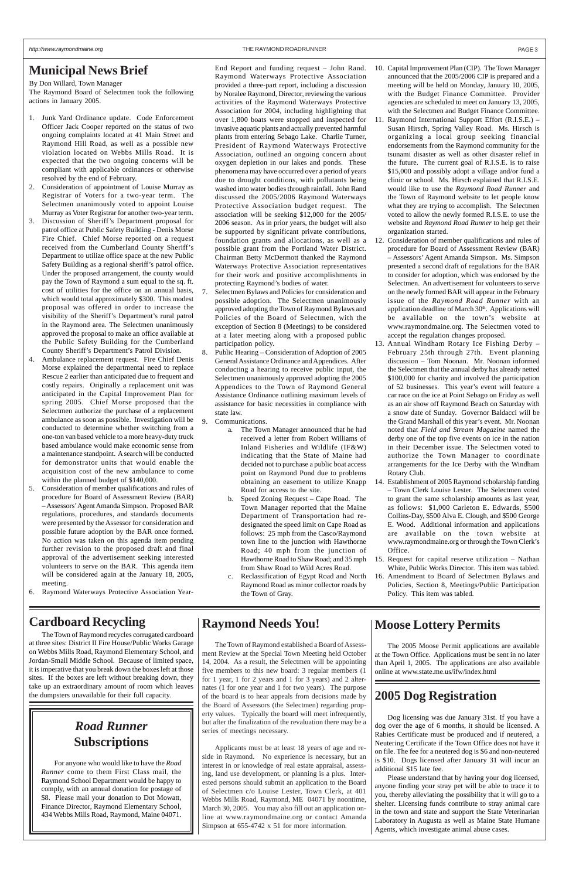### **Municipal News Brief**

By Don Willard, Town Manager

The Raymond Board of Selectmen took the following actions in January 2005.

- 1. Junk Yard Ordinance update. Code Enforcement Officer Jack Cooper reported on the status of two ongoing complaints located at 41 Main Street and Raymond Hill Road, as well as a possible new violation located on Webbs Mills Road. It is expected that the two ongoing concerns will be compliant with applicable ordinances or otherwise resolved by the end of February.
- 2. Consideration of appointment of Louise Murray as Registrar of Voters for a two-year term. The Selectmen unanimously voted to appoint Louise Murray as Voter Registrar for another two-year term.
- 3. Discussion of Sheriff's Department proposal for patrol office at Public Safety Building - Denis Morse Fire Chief. Chief Morse reported on a request received from the Cumberland County Sheriff's Department to utilize office space at the new Public Safety Building as a regional sheriff's patrol office. Under the proposed arrangement, the county would pay the Town of Raymond a sum equal to the sq. ft. cost of utilities for the office on an annual basis, which would total approximately \$300. This modest proposal was offered in order to increase the visibility of the Sheriff's Department's rural patrol in the Raymond area. The Selectmen unanimously approved the proposal to make an office available at the Public Safety Building for the Cumberland County Sheriff's Department's Patrol Division.
- 4. Ambulance replacement request. Fire Chief Denis Morse explained the departmental need to replace Rescue 2 earlier than anticipated due to frequent and costly repairs. Originally a replacement unit was anticipated in the Capital Improvement Plan for spring 2005. Chief Morse proposed that the Selectmen authorize the purchase of a replacement ambulance as soon as possible. Investigation will be conducted to determine whether switching from a one-ton van based vehicle to a more heavy-duty truck based ambulance would make economic sense from a maintenance standpoint. A search will be conducted for demonstrator units that would enable the acquisition cost of the new ambulance to come within the planned budget of \$140,000.
- 5. Consideration of member qualifications and rules of procedure for Board of Assessment Review (BAR) – Assessors' Agent Amanda Simpson. Proposed BAR regulations, procedures, and standards documents were presented by the Assessor for consideration and possible future adoption by the BAR once formed. No action was taken on this agenda item pending further revision to the proposed draft and final approval of the advertisement seeking interested volunteers to serve on the BAR. This agenda item will be considered again at the January 18, 2005, meeting.
- 6. Raymond Waterways Protective Association Year-
- Selectmen Bylaws and Policies for consideration and possible adoption. The Selectmen unanimously approved adopting the Town of Raymond Bylaws and Policies of the Board of Selectmen, with the exception of Section 8 (Meetings) to be considered at a later meeting along with a proposed public participation policy.
- 8. Public Hearing Consideration of Adoption of 2005 General Assistance Ordinance and Appendices. After conducting a hearing to receive public input, the Selectmen unanimously approved adopting the 2005 Appendices to the Town of Raymond General Assistance Ordinance outlining maximum levels of assistance for basic necessities in compliance with state law.
- 9. Communications.
	- a. The Town Manager announced that he had received a letter from Robert Williams of Inland Fisheries and Wildlife (IF&W) indicating that the State of Maine had decided not to purchase a public boat access point on Raymond Pond due to problems obtaining an easement to utilize Knapp Road for access to the site.
	- b. Speed Zoning Request Cape Road. The Town Manager reported that the Maine Department of Transportation had redesignated the speed limit on Cape Road as follows: 25 mph from the Casco/Raymond town line to the junction with Hawthorne Road; 40 mph from the junction of Hawthorne Road to Shaw Road; and 35 mph from Shaw Road to Wild Acres Road.
	- c. Reclassification of Egypt Road and North Raymond Road as minor collector roads by the Town of Gray.

End Report and funding request – John Rand. Raymond Waterways Protective Association provided a three-part report, including a discussion by Noralee Raymond, Director, reviewing the various activities of the Raymond Waterways Protective Association for 2004, including highlighting that over 1,800 boats were stopped and inspected for invasive aquatic plants and actually prevented harmful plants from entering Sebago Lake. Charlie Turner, President of Raymond Waterways Protective Association, outlined an ongoing concern about oxygen depletion in our lakes and ponds. These phenomena may have occurred over a period of years due to drought conditions, with pollutants being washed into water bodies through rainfall. John Rand discussed the 2005/2006 Raymond Waterways Protective Association budget request. The association will be seeking \$12,000 for the 2005/ 2006 season. As in prior years, the budget will also be supported by significant private contributions, foundation grants and allocations, as well as a possible grant from the Portland Water District. Chairman Betty McDermott thanked the Raymond Waterways Protective Association representatives for their work and positive accomplishments in protecting Raymond's bodies of water.

- 10. Capital Improvement Plan (CIP). The Town Manager announced that the 2005/2006 CIP is prepared and a meeting will be held on Monday, January 10, 2005, with the Budget Finance Committee. Provider agencies are scheduled to meet on January 13, 2005, with the Selectmen and Budget Finance Committee.
- 11. Raymond International Support Effort (R.I.S.E.) Susan Hirsch, Spring Valley Road. Ms. Hirsch is organizing a local group seeking financial endorsements from the Raymond community for the tsunami disaster as well as other disaster relief in the future. The current goal of R.I.S.E. is to raise \$15,000 and possibly adopt a village and/or fund a clinic or school. Ms. Hirsch explained that R.I.S.E. would like to use the *Raymond Road Runner* and the Town of Raymond website to let people know what they are trying to accomplish. The Selectmen voted to allow the newly formed R.I.S.E. to use the website and *Raymond Road Runner* to help get their organization started.
- 12. Consideration of member qualifications and rules of procedure for Board of Assessment Review (BAR) – Assessors' Agent Amanda Simpson. Ms. Simpson presented a second draft of regulations for the BAR to consider for adoption, which was endorsed by the Selectmen. An advertisement for volunteers to serve on the newly formed BAR will appear in the February issue of the *Raymond Road Runner* with an application deadline of March 30<sup>th</sup>. Applications will be available on the town's website at www.raymondmaine.org. The Selectmen voted to accept the regulation changes proposed.
- 13. Annual Windham Rotary Ice Fishing Derby February 25th through 27th. Event planning discussion – Tom Noonan. Mr. Noonan informed the Selectmen that the annual derby has already netted \$100,000 for charity and involved the participation of 52 businesses. This year's event will feature a car race on the ice at Point Sebago on Friday as well as an air show off Raymond Beach on Saturday with a snow date of Sunday. Governor Baldacci will be the Grand Marshall of this year's event. Mr. Noonan noted that *Field and Stream Magazine* named the derby one of the top five events on ice in the nation in their December issue. The Selectmen voted to authorize the Town Manager to coordinate arrangements for the Ice Derby with the Windham Rotary Club.
- 14. Establishment of 2005 Raymond scholarship funding – Town Clerk Louise Lester. The Selectmen voted to grant the same scholarship amounts as last year, as follows: \$1,000 Carleton E. Edwards, \$500 Collins-Day, \$500 Alva E. Clough, and \$500 George E. Wood. Additional information and applications are available on the town website at www.raymondmaine.org or through the Town Clerk's Office.
- 15. Request for capital reserve utilization Nathan White, Public Works Director. This item was tabled.
- 16. Amendment to Board of Selectmen Bylaws and Policies, Section 8, Meetings/Public Participation Policy. This item was tabled.

## **Cardboard Recycling**

The Town of Raymond recycles corrugated cardboard at three sites: District II Fire House/Public Works Garage

on Webbs Mills Road, Raymond Elementary School, and Jordan-Small Middle School. Because of limited space, it is imperative that you break down the boxes left at those sites. If the boxes are left without breaking down, they take up an extraordinary amount of room which leaves the dumpsters unavailable for their full capacity.

## **Raymond Needs You!**

The Town of Raymond established a Board of Assessment Review at the Special Town Meeting held October 14, 2004. As a result, the Selectmen will be appointing five members to this new board: 3 regular members (1 for 1 year, 1 for 2 years and 1 for 3 years) and 2 alternates (1 for one year and 1 for two years). The purpose of the board is to hear appeals from decisions made by the Board of Assessors (the Selectmen) regarding property values. Typically the board will meet infrequently, but after the finalization of the revaluation there may be a series of meetings necessary.

Applicants must be at least 18 years of age and reside in Raymond. No experience is necessary, but an interest in or knowledge of real estate appraisal, assessing, land use development, or planning is a plus. Interested persons should submit an application to the Board of Selectmen c/o Louise Lester, Town Clerk, at 401 Webbs Mills Road, Raymond, ME 04071 by noontime, March 30, 2005. You may also fill out an application online at www.raymondmaine.org or contact Amanda Simpson at 655-4742 x 51 for more information.

## **Moose Lottery Permits**

The 2005 Moose Permit applications are available at the Town Office. Applications must be sent in no later than April 1, 2005. The applications are also available online at www.state.me.us/ifw/index.html

## **2005 Dog Registration**

Dog licensing was due January 31st. If you have a dog over the age of 6 months, it should be licensed. A Rabies Certificate must be produced and if neutered, a Neutering Certificate if the Town Office does not have it on file. The fee for a neutered dog is \$6 and non-neutered is \$10. Dogs licensed after January 31 will incur an additional \$15 late fee.

Please understand that by having your dog licensed, anyone finding your stray pet will be able to trace it to you, thereby alleviating the possibility that it will go to a shelter. Licensing funds contribute to stray animal care in the town and state and support the State Veterinarian Laboratory in Augusta as well as Maine State Humane Agents, which investigate animal abuse cases.

## *Road Runner* **Subscriptions**

For anyone who would like to have the *Road Runner* come to them First Class mail, the Raymond School Department would be happy to comply, with an annual donation for postage of \$8. Please mail your donation to Dot Mowatt, Finance Director, Raymond Elementary School, 434 Webbs Mills Road, Raymond, Maine 04071.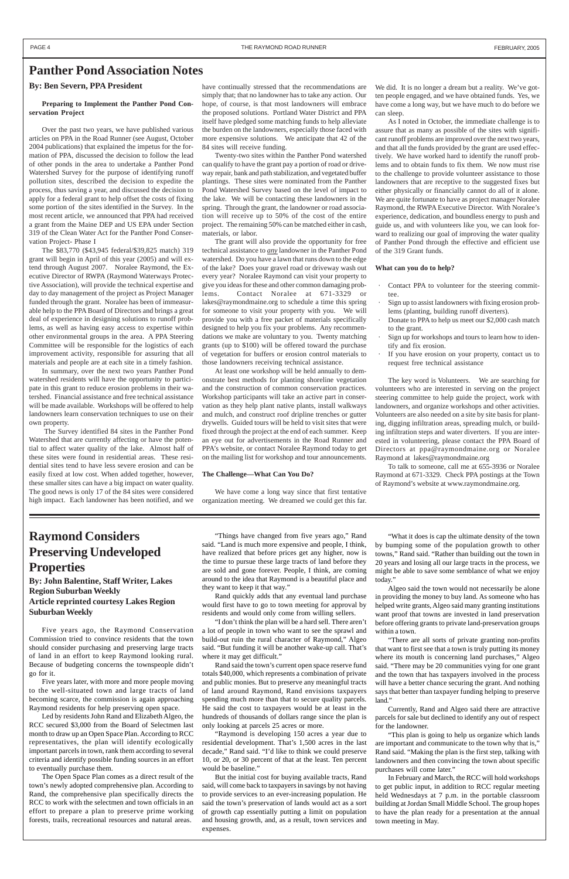#### **By: Ben Severn, PPA President**

#### **Preparing to Implement the Panther Pond Conservation Project**

Over the past two years, we have published various articles on PPA in the Road Runner (see August, October 2004 publications) that explained the impetus for the formation of PPA, discussed the decision to follow the lead of other ponds in the area to undertake a Panther Pond Watershed Survey for the purpose of identifying runoff pollution sites, described the decision to expedite the process, thus saving a year, and discussed the decision to apply for a federal grant to help offset the costs of fixing some portion of the sites identified in the Survey. In the most recent article, we announced that PPA had received a grant from the Maine DEP and US EPA under Section 319 of the Clean Water Act for the Panther Pond Conservation Project- Phase I

The \$83,770 (\$43,945 federal/\$39,825 match) 319 grant will begin in April of this year (2005) and will extend through August 2007. Noralee Raymond, the Executive Director of RWPA (Raymond Waterways Protective Association), will provide the technical expertise and day to day management of the project as Project Manager funded through the grant. Noralee has been of immeasurable help to the PPA Board of Directors and brings a great deal of experience in designing solutions to runoff problems, as well as having easy access to expertise within other environmental groups in the area. A PPA Steering Committee will be responsible for the logistics of each improvement activity, responsible for assuring that all materials and people are at each site in a timely fashion.

In summary, over the next two years Panther Pond watershed residents will have the opportunity to participate in this grant to reduce erosion problems in their watershed. Financial assistance and free technical assistance will be made available. Workshops will be offered to help landowners learn conservation techniques to use on their own property.

 The Survey identified 84 sites in the Panther Pond Watershed that are currently affecting or have the potential to affect water quality of the lake. Almost half of these sites were found in residential areas. These residential sites tend to have less severe erosion and can be easily fixed at low cost. When added together, however, these smaller sites can have a big impact on water quality. The good news is only 17 of the 84 sites were considered high impact. Each landowner has been notified, and we

We did. It is no longer a dream but a reality. We've gotten people engaged, and we have obtained funds. Yes, we have come a long way, but we have much to do before we can sleep.

have continually stressed that the recommendations are simply that; that no landowner has to take any action. Our hope, of course, is that most landowners will embrace the proposed solutions. Portland Water District and PPA itself have pledged some matching funds to help alleviate the burden on the landowners, especially those faced with more expensive solutions. We anticipate that 42 of the 84 sites will receive funding.

Twenty-two sites within the Panther Pond watershed can qualify to have the grant pay a portion of road or driveway repair, bank and path stabilization, and vegetated buffer plantings. These sites were nominated from the Panther Pond Watershed Survey based on the level of impact to the lake. We will be contacting these landowners in the spring. Through the grant, the landowner or road association will receive up to 50% of the cost of the entire project. The remaining 50% can be matched either in cash, materials, or labor.

- Contact PPA to volunteer for the steering committee.
- Sign up to assist landowners with fixing erosion problems (planting, building runoff diverters).
- Donate to PPA to help us meet our \$2,000 cash match to the grant.
- Sign up for workshops and tours to learn how to identify and fix erosion.
- If you have erosion on your property, contact us to request free technical assistance

The grant will also provide the opportunity for free technical assistance to *any* landowner in the Panther Pond watershed. Do you have a lawn that runs down to the edge of the lake? Does your gravel road or driveway wash out every year? Noralee Raymond can visit your property to give you ideas for these and other common damaging problems. Contact Noralee at 671-3329 or lakes@raymondmaine.org to schedule a time this spring for someone to visit your property with you. We will provide you with a free packet of materials specifically designed to help you fix your problems. Any recommendations we make are voluntary to you. Twenty matching grants (up to \$100) will be offered toward the purchase of vegetation for buffers or erosion control materials to those landowners receiving technical assistance.

At least one workshop will be held annually to demonstrate best methods for planting shoreline vegetation and the construction of common conservation practices. Workshop participants will take an active part in conservation as they help plant native plants, install walkways and mulch, and construct roof dripline trenches or gutter drywells. Guided tours will be held to visit sites that were fixed through the project at the end of each summer. Keep an eye out for advertisements in the Road Runner and PPA's website, or contact Noralee Raymond today to get on the mailing list for workshop and tour announcements.

#### **The Challenge—What Can You Do?**

We have come a long way since that first tentative organization meeting. We dreamed we could get this far.

#### **Panther Pond Association Notes**

As I noted in October, the immediate challenge is to assure that as many as possible of the sites with significant runoff problems are improved over the next two years, and that all the funds provided by the grant are used effectively. We have worked hard to identify the runoff problems and to obtain funds to fix them. We now must rise to the challenge to provide volunteer assistance to those landowners that are receptive to the suggested fixes but either physically or financially cannot do all of it alone. We are quite fortunate to have as project manager Noralee Raymond, the RWPA Executive Director. With Noralee's experience, dedication, and boundless energy to push and guide us, and with volunteers like you, we can look forward to realizing our goal of improving the water quality of Panther Pond through the effective and efficient use of the 319 Grant funds.

#### **What can you do to help?**

The key word is Volunteers. We are searching for volunteers who are interested in serving on the project steering committee to help guide the project, work with landowners, and organize workshops and other activities. Volunteers are also needed on a site by site basis for planting, digging infiltration areas, spreading mulch, or building infiltration steps and water diverters. If you are interested in volunteering, please contact the PPA Board of Directors at ppa@raymondmaine.org or Noralee Raymond at lakes@raymondmaine.org

To talk to someone, call me at 655-3936 or Noralee Raymond at 671-3329. Check PPA postings at the Town of Raymond's website at www.raymondmaine.org.

## **Raymond Considers Preserving Undeveloped Properties**

**By: John Balentine, Staff Writer, Lakes Region Suburban Weekly Article reprinted courtesy Lakes Region Suburban Weekly**

Five years ago, the Raymond Conservation Commission tried to convince residents that the town should consider purchasing and preserving large tracts of land in an effort to keep Raymond looking rural. Because of budgeting concerns the townspeople didn't go for it.

Five years later, with more and more people moving to the well-situated town and large tracts of land becoming scarce, the commission is again approaching Raymond residents for help preserving open space.

Led by residents John Rand and Elizabeth Algeo, the RCC secured \$3,000 from the Board of Selectmen last month to draw up an Open Space Plan. According to RCC representatives, the plan will identify ecologically important parcels in town, rank them according to several criteria and identify possible funding sources in an effort to eventually purchase them.

The Open Space Plan comes as a direct result of the town's newly adopted comprehensive plan. According to Rand, the comprehensive plan specifically directs the RCC to work with the selectmen and town officials in an effort to prepare a plan to preserve prime working forests, trails, recreational resources and natural areas.

"Things have changed from five years ago," Rand said. "Land is much more expensive and people, I think, have realized that before prices get any higher, now is the time to pursue these large tracts of land before they are sold and gone forever. People, I think, are coming around to the idea that Raymond is a beautiful place and they want to keep it that way."

Rand quickly adds that any eventual land purchase would first have to go to town meeting for approval by residents and would only come from willing sellers.

"I don't think the plan will be a hard sell. There aren't a lot of people in town who want to see the sprawl and build-out ruin the rural character of Raymond," Algeo said. "But funding it will be another wake-up call. That's where it may get difficult."

Rand said the town's current open space reserve fund totals \$40,000, which represents a combination of private and public monies. But to preserve any meaningful tracts of land around Raymond, Rand envisions taxpayers spending much more than that to secure quality parcels. He said the cost to taxpayers would be at least in the hundreds of thousands of dollars range since the plan is only looking at parcels 25 acres or more.

"Raymond is developing 150 acres a year due to residential development. That's 1,500 acres in the last decade," Rand said. "I'd like to think we could preserve 10, or 20, or 30 percent of that at the least. Ten percent would be baseline."

But the initial cost for buying available tracts, Rand said, will come back to taxpayers in savings by not having to provide services to an ever-increasing population. He said the town's preservation of lands would act as a sort of growth cap essentially putting a limit on population and housing growth, and, as a result, town services and expenses.

"What it does is cap the ultimate density of the town by bumping some of the population growth to other towns," Rand said. "Rather than building out the town in 20 years and losing all our large tracts in the process, we might be able to save some semblance of what we enjoy today."

Algeo said the town would not necessarily be alone in providing the money to buy land. As someone who has helped write grants, Algeo said many granting institutions want proof that towns are invested in land preservation before offering grants to private land-preservation groups within a town.

"There are all sorts of private granting non-profits that want to first see that a town is truly putting its money where its mouth is concerning land purchases," Algeo said. "There may be 20 communities vying for one grant and the town that has taxpayers involved in the process will have a better chance securing the grant. And nothing says that better than taxpayer funding helping to preserve land."

Currently, Rand and Algeo said there are attractive parcels for sale but declined to identify any out of respect for the landowner.

"This plan is going to help us organize which lands are important and communicate to the town why that is," Rand said. "Making the plan is the first step, talking with landowners and then convincing the town about specific purchases will come later."

In February and March, the RCC will hold workshops to get public input, in addition to RCC regular meeting held Wednesdays at 7 p.m. in the portable classroom building at Jordan Small Middle School. The group hopes to have the plan ready for a presentation at the annual town meeting in May.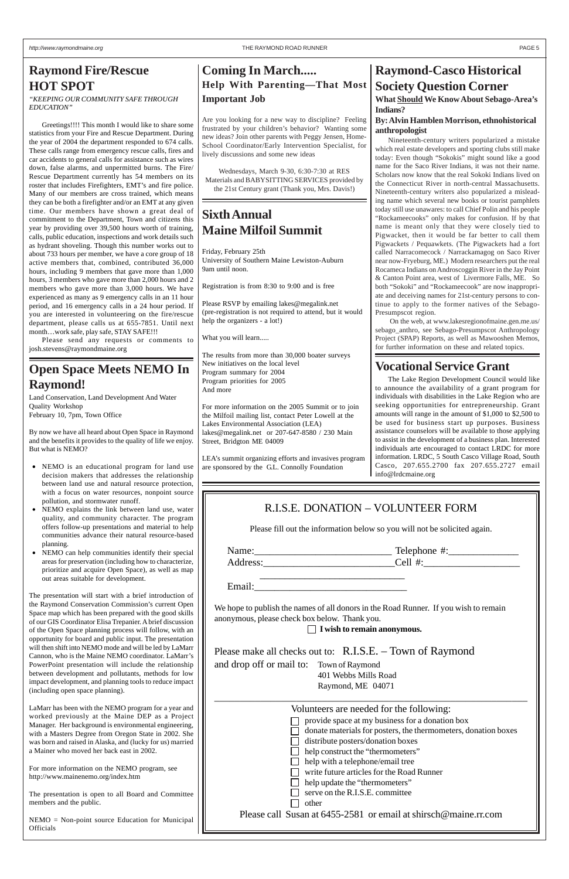## **Raymond-Casco Historical Society Question Corner**

**What Should We Know About Sebago-Area's Indians?**

#### **By: Alvin Hamblen Morrison, ethnohistorical anthropologist**

Nineteenth-century writers popularized a mistake which real estate developers and sporting clubs still make today: Even though "Sokokis" might sound like a good name for the Saco River Indians, it was not their name. Scholars now know that the real Sokoki Indians lived on the Connecticut River in north-central Massachusetts. Nineteenth-century writers also popularized a misleading name which several new books or tourist pamphlets today still use unawares: to call Chief Polin and his people "Rockameecooks" only makes for confusion. If by that name is meant only that they were closely tied to Pigwacket, then it would be far better to call them Pigwackets / Pequawkets. (The Pigwackets had a fort called Narracomecock / Narrackamagog on Saco River near now-Fryeburg, ME.) Modern researchers put the real Rocameca Indians on Androscoggin River in the Jay Point & Canton Point area, west of Livermore Falls, ME. So both "Sokoki" and "Rockameecook" are now inappropriate and deceiving names for 21st-century persons to continue to apply to the former natives of the Sebago-Presumpscot region.

 On the web, at www.lakesregionofmaine.gen.me.us/ sebago anthro, see Sebago-Presumpscot Anthropology Project (SPAP) Reports, as well as Mawooshen Memos, for further information on these and related topics.

## **Raymond Fire/Rescue HOT SPOT**

*"KEEPING OUR COMMUNITY SAFE THROUGH EDUCATION"*

Greetings!!!! This month I would like to share some statistics from your Fire and Rescue Department. During the year of 2004 the department responded to 674 calls. These calls range from emergency rescue calls, fires and car accidents to general calls for assistance such as wires down, false alarms, and unpermitted burns. The Fire/ Rescue Department currently has 54 members on its roster that includes Firefighters, EMT's and fire police. Many of our members are cross trained, which means they can be both a firefighter and/or an EMT at any given time. Our members have shown a great deal of commitment to the Department, Town and citizens this year by providing over 39,500 hours worth of training, calls, public education, inspections and work details such as hydrant shoveling. Though this number works out to about 733 hours per member, we have a core group of 18 active members that, combined, contributed 36,000 hours, including 9 members that gave more than 1,000 hours, 3 members who gave more than 2,000 hours and 2 members who gave more than 3,000 hours. We have experienced as many as 9 emergency calls in an 11 hour period, and 16 emergency calls in a 24 hour period. If you are interested in volunteering on the fire/rescue department, please calls us at 655-7851. Until next month…work safe, play safe, STAY SAFE!!!

Please send any requests or comments to josh.stevens@raymondmaine.org

## **Sixth Annual Maine Milfoil Summit**

Friday, February 25th University of Southern Maine Lewiston-Auburn 9am until noon.

Registration is from 8:30 to 9:00 and is free

Please RSVP by emailing lakes@megalink.net (pre-registration is not required to attend, but it would help the organizers - a lot!)

What you will learn.....

The results from more than 30,000 boater surveys New initiatives on the local level Program summary for 2004 Program priorities for 2005 And more

For more information on the 2005 Summit or to join the Milfoil mailing list, contact Peter Lowell at the Lakes Environmental Association (LEA) lakes@megalink.net or 207-647-8580 / 230 Main Street, Bridgton ME 04009

LEA's summit organizing efforts and invasives program are sponsored by the G.L. Connolly Foundation

## **Open Space Meets NEMO In Raymond!**

Land Conservation, Land Development And Water Quality Workshop February 10, 7pm, Town Office

By now we have all heard about Open Space in Raymond and the benefits it provides to the quality of life we enjoy. But what is NEMO?

|                                          | Please make all checks out to: R.I.S.E. – Town of Raymond       |
|------------------------------------------|-----------------------------------------------------------------|
| and drop off or mail to: Town of Raymond |                                                                 |
|                                          | 401 Webbs Mills Road                                            |
|                                          | Raymond, ME 04071                                               |
|                                          |                                                                 |
|                                          | Volunteers are needed for the following:                        |
|                                          | provide space at my business for a donation box                 |
|                                          | donate materials for posters, the thermometers, donation boxes  |
|                                          | distribute posters/donation boxes                               |
|                                          | help construct the "thermometers"                               |
|                                          | help with a telephone/email tree                                |
|                                          | write future articles for the Road Runner                       |
|                                          | help update the "thermometers"                                  |
|                                          | serve on the R.I.S.E. committee                                 |
| other                                    |                                                                 |
|                                          | Please call Susan at 6455-2581 or email at shirsch@maine.rr.com |

- NEMO is an educational program for land use decision makers that addresses the relationship between land use and natural resource protection, with a focus on water resources, nonpoint source pollution, and stormwater runoff.
- NEMO explains the link between land use, water quality, and community character. The program offers follow-up presentations and material to help communities advance their natural resource-based planning.
- NEMO can help communities identify their special areas for preservation (including how to characterize, prioritize and acquire Open Space), as well as map out areas suitable for development.

The presentation will start with a brief introduction of the Raymond Conservation Commission's current Open Space map which has been prepared with the good skills of our GIS Coordinator Elisa Trepanier. A brief discussion of the Open Space planning process will follow, with an opportunity for board and public input. The presentation will then shift into NEMO mode and will be led by LaMarr Cannon, who is the Maine NEMO coordinator. LaMarr's PowerPoint presentation will include the relationship between development and pollutants, methods for low impact development, and planning tools to reduce impact (including open space planning).

LaMarr has been with the NEMO program for a year and worked previously at the Maine DEP as a Project Manager. Her background is environmental engineering, with a Masters Degree from Oregon State in 2002. She was born and raised in Alaska, and (lucky for us) married a Mainer who moved her back east in 2002.

For more information on the NEMO program, see http://www.mainenemo.org/index.htm

The presentation is open to all Board and Committee members and the public.

NEMO = Non-point source Education for Municipal Officials

## **Vocational Service Grant**

The Lake Region Development Council would like to announce the availability of a grant program for individuals with disabilities in the Lake Region who are seeking opportunities for entrepreneurship. Grant amounts will range in the amount of \$1,000 to \$2,500 to be used for business start up purposes. Business assistance counselors will be available to those applying to assist in the development of a business plan. Interested individuals arte encouraged to contact LRDC for more information. LRDC, 5 South Casco Village Road, South Casco, 207.655.2700 fax 207.655.2727 email info@lrdcmaine.org

## **Coming In March..... Help With Parenting—That Most Important Job**

Are you looking for a new way to discipline? Feeling frustrated by your children's behavior? Wanting some new ideas? Join other parents with Peggy Jensen, Home-School Coordinator/Early Intervention Specialist, for lively discussions and some new ideas

Wednesdays, March 9-30, 6:30-7:30 at RES Materials and BABYSITTING SERVICES provided by the 21st Century grant (Thank you, Mrs. Davis!)

Please fill out the information below so you will not be solicited again.

| Name:    | Telephone #: |
|----------|--------------|
| Address: | 11م∼         |

Email:

We hope to publish the names of all donors in the Road Runner. If you wish to remain anonymous, please check box below. Thank you.

 $\frac{1}{2}$  ,  $\frac{1}{2}$  ,  $\frac{1}{2}$  ,  $\frac{1}{2}$  ,  $\frac{1}{2}$  ,  $\frac{1}{2}$  ,  $\frac{1}{2}$  ,  $\frac{1}{2}$  ,  $\frac{1}{2}$  ,  $\frac{1}{2}$  ,  $\frac{1}{2}$  ,  $\frac{1}{2}$  ,  $\frac{1}{2}$  ,  $\frac{1}{2}$  ,  $\frac{1}{2}$  ,  $\frac{1}{2}$  ,  $\frac{1}{2}$  ,  $\frac{1}{2}$  ,  $\frac{1$ 

**I wish to remain anonymous.**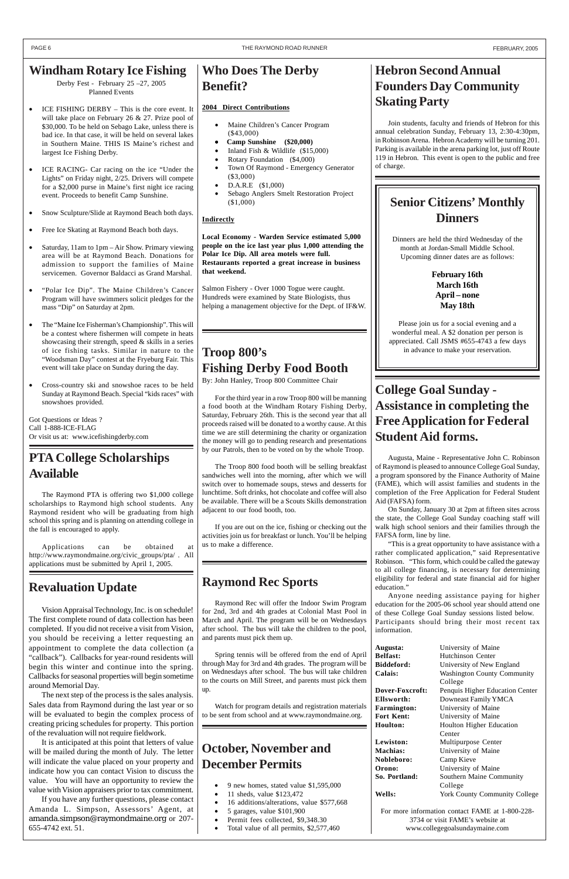## **PTA College Scholarships Available**

The Raymond PTA is offering two \$1,000 college scholarships to Raymond high school students. Any Raymond resident who will be graduating from high school this spring and is planning on attending college in the fall is encouraged to apply.

Applications can be obtained at http://www.raymondmaine.org/civic\_groups/pta/ . All applications must be submitted by April 1, 2005.

### **Windham Rotary Ice Fishing**

Derby Fest - February 25 –27, 2005 Planned Events

- ICE FISHING DERBY This is the core event. It will take place on February 26 & 27. Prize pool of \$30,000. To be held on Sebago Lake, unless there is bad ice. In that case, it will be held on several lakes in Southern Maine. THIS IS Maine's richest and largest Ice Fishing Derby.
- ICE RACING- Car racing on the ice "Under the Lights" on Friday night, 2/25. Drivers will compete for a \$2,000 purse in Maine's first night ice racing event. Proceeds to benefit Camp Sunshine.
- Snow Sculpture/Slide at Raymond Beach both days.
- Free Ice Skating at Raymond Beach both days.
- Saturday, 11am to 1pm Air Show. Primary viewing area will be at Raymond Beach. Donations for admission to support the families of Maine servicemen. Governor Baldacci as Grand Marshal.
- "Polar Ice Dip". The Maine Children's Cancer Program will have swimmers solicit pledges for the mass "Dip" on Saturday at 2pm.
- The "Maine Ice Fisherman's Championship". This will be a contest where fishermen will compete in heats showcasing their strength, speed  $&$  skills in a series of ice fishing tasks. Similar in nature to the "Woodsman Day" contest at the Fryeburg Fair. This event will take place on Sunday during the day.
- Cross-country ski and snowshoe races to be held Sunday at Raymond Beach. Special "kids races" with snowshoes provided.

Got Questions or Ideas ? Call 1-888-ICE-FLAG Or visit us at: www.icefishingderby.com

## **Who Does The Derby Benefit?**

#### **2004 Direct Contributions**

- Maine Children's Cancer Program (\$43,000)
- **Camp Sunshine (\$20,000)**
- Inland Fish  $&$  Wildlife (\$15,000)
- Rotary Foundation (\$4,000)
- Town Of Raymond Emergency Generator (\$3,000)
- D.A.R.E (\$1,000)
- Sebago Anglers Smelt Restoration Project (\$1,000)

#### **Indirectly**

**Local Economy - Warden Service estimated 5,000 people on the ice last year plus 1,000 attending the Polar Ice Dip. All area motels were full. Restaurants reported a great increase in business that weekend.**

Salmon Fishery - Over 1000 Togue were caught. Hundreds were examined by State Biologists, thus helping a management objective for the Dept. of IF&W.

## **Hebron Second Annual Founders Day Community Skating Party**

Join students, faculty and friends of Hebron for this annual celebration Sunday, February 13, 2:30-4:30pm, in Robinson Arena. Hebron Academy will be turning 201. Parking is available in the arena parking lot, just off Route 119 in Hebron. This event is open to the public and free of charge.

## **Raymond Rec Sports**

Raymond Rec will offer the Indoor Swim Program for 2nd, 3rd and 4th grades at Colonial Mast Pool in March and April. The program will be on Wednesdays after school. The bus will take the children to the pool, and parents must pick them up.

Spring tennis will be offered from the end of April through May for 3rd and 4th grades. The program will be on Wednesdays after school. The bus will take children to the courts on Mill Street, and parents must pick them up.

Watch for program details and registration materials to be sent from school and at www.raymondmaine.org.

## **College Goal Sunday - Assistance in completing the Free Application for Federal Student Aid forms.**

Augusta, Maine - Representative John C. Robinson of Raymond is pleased to announce College Goal Sunday, a program sponsored by the Finance Authority of Maine (FAME), which will assist families and students in the completion of the Free Application for Federal Student Aid (FAFSA) form.

- 9 new homes, stated value \$1,595,000
- 11 sheds, value \$123,472
- 16 additions/alterations, value \$577,668
- 5 garages, value \$101,900
- Permit fees collected, \$9,348.30
- Total value of all permits, \$2,577,460

On Sunday, January 30 at 2pm at fifteen sites across the state, the College Goal Sunday coaching staff will walk high school seniors and their families through the FAFSA form, line by line.

"This is a great opportunity to have assistance with a rather complicated application," said Representative Robinson. "This form, which could be called the gateway to all college financing, is necessary for determining eligibility for federal and state financial aid for higher education."

Anyone needing assistance paying for higher education for the 2005-06 school year should attend one of these College Goal Sunday sessions listed below. Participants should bring their most recent tax information.

**Augusta:** University of Maine **Belfast:** Hutchinson Center **Biddeford:** University of New England **Calais:** Washington County Community College **Dover-Foxcroft:** Penquis Higher Education Center **Ellsworth:** Downeast Family YMCA **Farmington:** University of Maine **Fort Kent:** University of Maine **Houlton:** Houlton Higher Education Center **Lewiston:** Multipurpose Center **Machias:** University of Maine **Nobleboro:** Camp Kieve **Orono:** University of Maine **So. Portland:** Southern Maine Community College **Wells:** York County Community College

For more information contact FAME at 1-800-228- 3734 or visit FAME's website at www.collegegoalsundaymaine.com

## **Revaluation Update**

Vision Appraisal Technology, Inc. is on schedule! The first complete round of data collection has been completed. If you did not receive a visit from Vision, you should be receiving a letter requesting an appointment to complete the data collection (a "callback"). Callbacks for year-round residents will begin this winter and continue into the spring. Callbacks for seasonal properties will begin sometime around Memorial Day. The next step of the process is the sales analysis. Sales data from Raymond during the last year or so will be evaluated to begin the complex process of creating pricing schedules for property. This portion of the revaluation will not require fieldwork. It is anticipated at this point that letters of value will be mailed during the month of July. The letter will indicate the value placed on your property and indicate how you can contact Vision to discuss the value. You will have an opportunity to review the value with Vision appraisers prior to tax commitment. If you have any further questions, please contact Amanda L. Simpson, Assessors' Agent, at amanda.simpson@raymondmaine.org or 207- 655-4742 ext. 51.

## **Troop 800's Fishing Derby Food Booth**

By: John Hanley, Troop 800 Committee Chair

For the third year in a row Troop 800 will be manning a food booth at the Windham Rotary Fishing Derby, Saturday, February 26th. This is the second year that all proceeds raised will be donated to a worthy cause. At this time we are still determining the charity or organization the money will go to pending research and presentations by our Patrols, then to be voted on by the whole Troop.

The Troop 800 food booth will be selling breakfast sandwiches well into the morning, after which we will switch over to homemade soups, stews and desserts for lunchtime. Soft drinks, hot chocolate and coffee will also be available. There will be a Scouts Skills demonstration adjacent to our food booth, too.

If you are out on the ice, fishing or checking out the activities join us for breakfast or lunch. You'll be helping us to make a difference.

## **Senior Citizens' Monthly Dinners**

Dinners are held the third Wednesday of the month at Jordan-Small Middle School. Upcoming dinner dates are as follows:

#### **February 16th March 16th April – none May 18th**

Please join us for a social evening and a wonderful meal. A \$2 donation per person is appreciated. Call JSMS #655-4743 a few days in advance to make your reservation.

## **October, November and December Permits**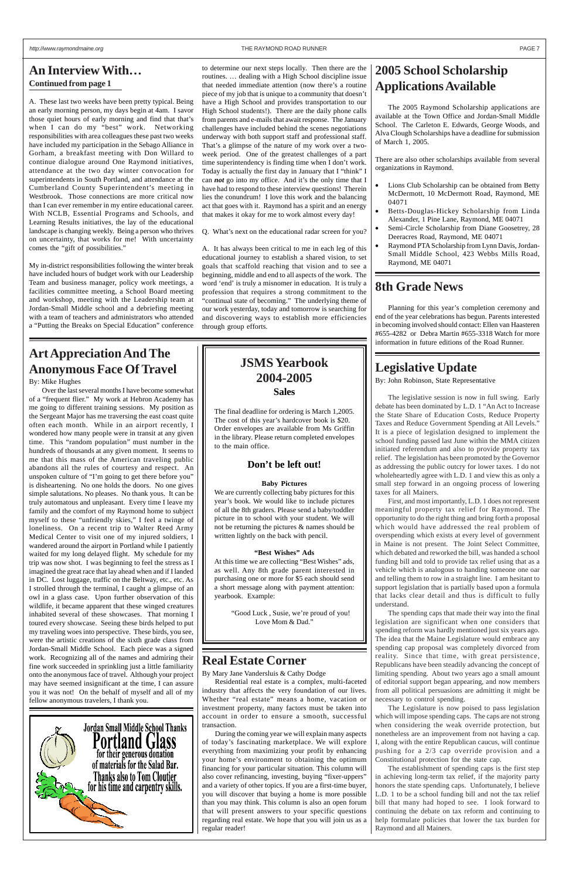#### *http://www.raymondmaine.org* THE RAYMOND ROAD RUNNER PAGE 7

## **8th Grade News**

Planning for this year's completion ceremony and end of the year celebrations has begun. Parents interested in becoming involved should contact: Ellen van Haasteren #655-4282 or Debra Martin #655-3318 Watch for more information in future editions of the Road Runner.

A. These last two weeks have been pretty typical. Being an early morning person, my days begin at 4am. I savor those quiet hours of early morning and find that that's when I can do my "best" work. Networking responsibilities with area colleagues these past two weeks have included my participation in the Sebago Alliance in Gorham, a breakfast meeting with Don Willard to continue dialogue around One Raymond initiatives, attendance at the two day winter convocation for superintendents in South Portland, and attendance at the Cumberland County Superintendent's meeting in Westbrook. Those connections are more critical now than I can ever remember in my entire educational career. With NCLB, Essential Programs and Schools, and Learning Results initiatives, the lay of the educational landscape is changing weekly. Being a person who thrives on uncertainty, that works for me! With uncertainty comes the "gift of possibilities."

My in-district responsibilities following the winter break have included hours of budget work with our Leadership Team and business manager, policy work meetings, a facilities committee meeting, a School Board meeting and workshop, meeting with the Leadership team at Jordan-Small Middle school and a debriefing meeting with a team of teachers and administrators who attended a "Putting the Breaks on Special Education" conference

to determine our next steps locally. Then there are the routines. … dealing with a High School discipline issue that needed immediate attention (now there's a routine piece of my job that is unique to a community that doesn't have a High School and provides transportation to our High School students!). There are the daily phone calls from parents and e-mails that await response. The January challenges have included behind the scenes negotiations underway with both support staff and professional staff. That's a glimpse of the nature of my work over a twoweek period. One of the greatest challenges of a part time superintendency is finding time when I don't work. Today is actually the first day in January that I "think" I can *not* go into my office. And it's the only time that I have had to respond to these interview questions! Therein lies the conundrum! I love this work and the balancing act that goes with it. Raymond has a spirit and an energy that makes it okay for me to work almost every day!

Q. What's next on the educational radar screen for you?

A. It has always been critical to me in each leg of this educational journey to establish a shared vision, to set goals that scaffold reaching that vision and to see a beginning, middle and end to all aspects of the work. The word 'end' is truly a misnomer in education. It is truly a profession that requires a strong commitment to the "continual state of becoming." The underlying theme of our work yesterday, today and tomorrow is searching for and discovering ways to establish more efficiencies through group efforts.

## **Art Appreciation And The Anonymous Face Of Travel**

#### By: Mike Hughes

Over the last several months I have become somewhat of a "frequent flier." My work at Hebron Academy has me going to different training sessions. My position as the Sergeant Major has me traversing the east coast quite often each month. While in an airport recently, I wondered how many people were in transit at any given time. This "random population" must number in the hundreds of thousands at any given moment. It seems to me that this mass of the American traveling public abandons all the rules of courtesy and respect. An unspoken culture of "I'm going to get there before you" is disheartening. No one holds the doors. No one gives simple salutations. No pleases. No thank yous. It can be truly automatous and unpleasant. Every time I leave my family and the comfort of my Raymond home to subject myself to these "unfriendly skies," I feel a twinge of loneliness. On a recent trip to Walter Reed Army Medical Center to visit one of my injured soldiers, I wandered around the airport in Portland while I patiently waited for my long delayed flight. My schedule for my trip was now shot. I was beginning to feel the stress as I imagined the great race that lay ahead when and if I landed in DC. Lost luggage, traffic on the Beltway, etc., etc. As I strolled through the terminal, I caught a glimpse of an owl in a glass case. Upon further observation of this wildlife, it became apparent that these winged creatures inhabited several of these showcases. That morning I toured every showcase. Seeing these birds helped to put my traveling woes into perspective. These birds, you see, were the artistic creations of the sixth grade class from

- Lions Club Scholarship can be obtained from Betty McDermott, 10 McDermott Road, Raymond, ME 04071
- Betts-Douglas-Hickey Scholarship from Linda Alexander, 1 Pine Lane, Raymond, ME 04071
- Semi-Circle Scholarship from Diane Goosetrey, 28 Deeracres Road, Raymond, ME 04071
- Raymond PTA Scholarship from Lynn Davis, Jordan-Small Middle School, 423 Webbs Mills Road, Raymond, ME 04071

Jordan-Small Middle School. Each piece was a signed work. Recognizing all of the names and admiring their fine work succeeded in sprinkling just a little familiarity onto the anonymous face of travel. Although your project may have seemed insignificant at the time, I can assure you it was not! On the behalf of myself and all of my fellow anonymous travelers, I thank you.



## **Legislative Update**

By: John Robinson, State Representative

The legislative session is now in full swing. Early debate has been dominated by L.D. 1 "An Act to Increase the State Share of Education Costs, Reduce Property Taxes and Reduce Government Spending at All Levels." It is a piece of legislation designed to implement the school funding passed last June within the MMA citizen initiated referendum and also to provide property tax relief. The legislation has been promoted by the Governor as addressing the public outcry for lower taxes. I do not wholeheartedly agree with L.D. 1 and view this as only a small step forward in an ongoing process of lowering taxes for all Mainers.

First, and most importantly, L.D. 1 does not represent meaningful property tax relief for Raymond. The opportunity to do the right thing and bring forth a proposal which would have addressed the real problem of overspending which exists at every level of government in Maine is not present. The Joint Select Committee, which debated and reworked the bill, was handed a school funding bill and told to provide tax relief using that as a vehicle which is analogous to handing someone one oar and telling them to row in a straight line. I am hesitant to support legislation that is partially based upon a formula that lacks clear detail and thus is difficult to fully understand.

The spending caps that made their way into the final legislation are significant when one considers that spending reform was hardly mentioned just six years ago. The idea that the Maine Legislature would embrace any spending cap proposal was completely divorced from reality. Since that time, with great persistence, Republicans have been steadily advancing the concept of limiting spending. About two years ago a small amount of editorial support began appearing, and now members from all political persuasions are admitting it might be necessary to control spending. The Legislature is now poised to pass legislation which will impose spending caps. The caps are not strong when considering the weak override protection, but nonetheless are an improvement from not having a cap. I, along with the entire Republican caucus, will continue pushing for a 2/3 cap override provision and a Constitutional protection for the state cap. The establishment of spending caps is the first step in achieving long-term tax relief, if the majority party honors the state spending caps. Unfortunately, I believe L.D. 1 to be a school funding bill and not the tax relief bill that many had hoped to see. I look forward to continuing the debate on tax reform and continuing to help formulate policies that lower the tax burden for Raymond and all Mainers.

## **2005 School Scholarship Applications Available**

The 2005 Raymond Scholarship applications are available at the Town Office and Jordan-Small Middle School. The Carleton E. Edwards, George Woods, and Alva Clough Scholarships have a deadline for submission of March 1, 2005.

There are also other scholarships available from several organizations in Raymond.

## **Real Estate Corner**

By Mary Jane Vandersluis & Cathy Dodge

Residential real estate is a complex, multi-faceted industry that affects the very foundation of our lives. Whether "real estate" means a home, vacation or investment property, many factors must be taken into account in order to ensure a smooth, successful transaction.

During the coming year we will explain many aspects of today's fascinating marketplace. We will explore everything from maximizing your profit by enhancing your home's environment to obtaining the optimum financing for your particular situation. This column will also cover refinancing, investing, buying "fixer-uppers" and a variety of other topics. If you are a first-time buyer, you will discover that buying a home is more possible than you may think. This column is also an open forum that will present answers to your specific questions regarding real estate. We hope that you will join us as a regular reader!

### **An Interview With… Continued from page 1**

## **JSMS Yearbook 2004-2005 Sales**

The final deadline for ordering is March 1,2005. The cost of this year's hardcover book is \$20. Order envelopes are available from Ms Griffin in the library. Please return completed envelopes to the main office.

#### **Don't be left out!**

#### **Baby Pictures**

We are currently collecting baby pictures for this year's book. We would like to include pictures of all the 8th graders. Please send a baby/toddler picture in to school with your student. We will not be returning the pictures & names should be written lightly on the back with pencil.

#### **"Best Wishes" Ads**

At this time we are collecting "Best Wishes" ads, as well. Any 8th grade parent interested in purchasing one or more for \$5 each should send a short message along with payment attention: yearbook. Example:

> "Good Luck , Susie, we're proud of you! Love Mom & Dad."